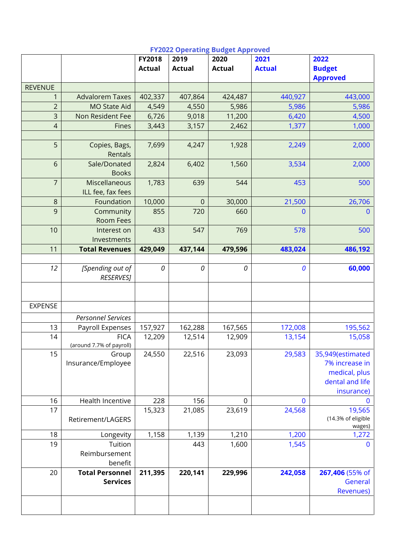|                  |                                      | FY2018        | 2019             | 2020          | 2021          | 2022                             |
|------------------|--------------------------------------|---------------|------------------|---------------|---------------|----------------------------------|
|                  |                                      | <b>Actual</b> | <b>Actual</b>    | <b>Actual</b> | <b>Actual</b> | <b>Budget</b><br><b>Approved</b> |
| <b>REVENUE</b>   |                                      |               |                  |               |               |                                  |
| 1                | <b>Advalorem Taxes</b>               | 402,337       | 407,864          | 424,487       | 440,927       | 443,000                          |
| $\overline{c}$   | <b>MO State Aid</b>                  | 4,549         | 4,550            | 5,986         | 5,986         | 5,986                            |
| $\overline{3}$   | Non Resident Fee                     | 6,726         | 9,018            | 11,200        | 6,420         | 4,500                            |
| $\overline{a}$   | Fines                                | 3,443         | 3,157            | 2,462         | 1,377         | 1,000                            |
|                  |                                      |               |                  |               |               |                                  |
| 5                | Copies, Bags,<br>Rentals             | 7,699         | 4,247            | 1,928         | 2,249         | 2,000                            |
| 6                | Sale/Donated                         | 2,824         | 6,402            | 1,560         | 3,534         | 2,000                            |
|                  | <b>Books</b>                         |               |                  |               |               |                                  |
| $\overline{7}$   | Miscellaneous                        | 1,783         | 639              | 544           | 453           | 500                              |
|                  | ILL fee, fax fees                    |               |                  |               |               |                                  |
| $\boldsymbol{8}$ | Foundation                           | 10,000        | $\boldsymbol{0}$ | 30,000        | 21,500        | 26,706                           |
| 9                | Community                            | 855           | 720              | 660           | 0             | $\overline{0}$                   |
|                  | <b>Room Fees</b>                     |               |                  |               |               |                                  |
| 10               | Interest on                          | 433           | 547              | 769           | 578           | 500                              |
|                  | Investments                          |               |                  |               |               |                                  |
| 11               | <b>Total Revenues</b>                | 429,049       | 437,144          | 479,596       | 483,024       | 486,192                          |
|                  |                                      |               |                  |               |               |                                  |
| 12               | [Spending out of<br><b>RESERVES]</b> | $\it{O}$      | 0                | 0             | 0             | 60,000                           |
|                  |                                      |               |                  |               |               |                                  |
|                  |                                      |               |                  |               |               |                                  |
| <b>EXPENSE</b>   |                                      |               |                  |               |               |                                  |
|                  | <b>Personnel Services</b>            |               |                  |               |               |                                  |
| 13               | Payroll Expenses                     | 157,927       | 162,288          | 167,565       | 172,008       | 195,562                          |
| 14               | <b>FICA</b>                          | 12,209        | 12,514           | 12,909        | 13,154        | 15,058                           |
|                  | (around 7.7% of payroll)             |               |                  |               |               |                                  |
| 15               | Group                                | 24,550        | 22,516           | 23,093        | 29,583        | 35,949(estimated                 |
|                  | Insurance/Employee                   |               |                  |               |               | 7% increase in                   |
|                  |                                      |               |                  |               |               | medical, plus                    |
|                  |                                      |               |                  |               |               | dental and life                  |
|                  |                                      |               |                  |               |               | insurance)                       |
| 16               | Health Incentive                     | 228           | 156              | $\mathbf 0$   | 0             | $\mathbf 0$                      |
| 17               |                                      | 15,323        | 21,085           | 23,619        | 24,568        | 19,565                           |
|                  | Retirement/LAGERS                    |               |                  |               |               | (14.3% of eligible<br>wages)     |
| 18               | Longevity                            | 1,158         | 1,139            | 1,210         | 1,200         | 1,272                            |
| 19               | Tuition                              |               | 443              | 1,600         | 1,545         | $\mathbf{0}$                     |
|                  | Reimbursement                        |               |                  |               |               |                                  |
|                  | benefit                              |               |                  |               |               |                                  |
| 20               | <b>Total Personnel</b>               | 211,395       | 220,141          | 229,996       | 242,058       | 267,406 (55% of                  |
|                  | <b>Services</b>                      |               |                  |               |               | General                          |
|                  |                                      |               |                  |               |               | <b>Revenues</b> )                |
|                  |                                      |               |                  |               |               |                                  |
|                  |                                      |               |                  |               |               |                                  |

# **FY2022 Operating Budget Approved**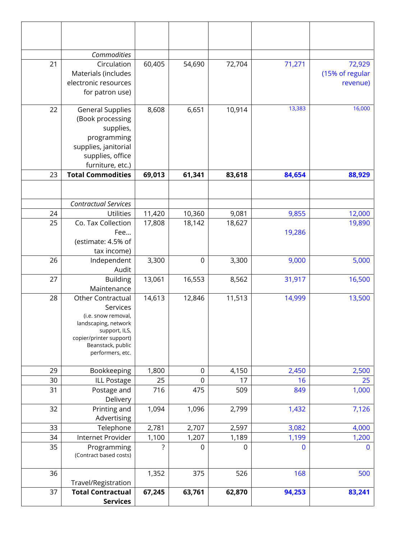|    | Commodities                                                                                                                                                       |        |                  |        |        |                                       |
|----|-------------------------------------------------------------------------------------------------------------------------------------------------------------------|--------|------------------|--------|--------|---------------------------------------|
| 21 | Circulation<br>Materials (includes<br>electronic resources<br>for patron use)                                                                                     | 60,405 | 54,690           | 72,704 | 71,271 | 72,929<br>(15% of regular<br>revenue) |
| 22 | <b>General Supplies</b><br>(Book processing<br>supplies,<br>programming<br>supplies, janitorial<br>supplies, office<br>furniture, etc.)                           | 8,608  | 6,651            | 10,914 | 13,383 | 16,000                                |
| 23 | <b>Total Commodities</b>                                                                                                                                          | 69,013 | 61,341           | 83,618 | 84,654 | 88,929                                |
|    |                                                                                                                                                                   |        |                  |        |        |                                       |
|    | <b>Contractual Services</b>                                                                                                                                       |        |                  |        |        |                                       |
| 24 | <b>Utilities</b>                                                                                                                                                  | 11,420 | 10,360           | 9,081  | 9,855  | 12,000                                |
| 25 | Co. Tax Collection<br>Fee<br>(estimate: 4.5% of                                                                                                                   | 17,808 | 18,142           | 18,627 | 19,286 | 19,890                                |
|    | tax income)                                                                                                                                                       |        |                  |        |        |                                       |
| 26 | Independent<br>Audit                                                                                                                                              | 3,300  | $\mathbf 0$      | 3,300  | 9,000  | 5,000                                 |
| 27 | <b>Building</b><br>Maintenance                                                                                                                                    | 13,061 | 16,553           | 8,562  | 31,917 | 16,500                                |
| 28 | Other Contractual<br>Services<br>(i.e. snow removal,<br>landscaping, network<br>support, ILS,<br>copier/printer support)<br>Beanstack, public<br>performers, etc. | 14,613 | 12,846           | 11,513 | 14,999 | 13,500                                |
| 29 | Bookkeeping                                                                                                                                                       | 1,800  | $\boldsymbol{0}$ | 4,150  | 2,450  | 2,500                                 |
| 30 | <b>ILL Postage</b>                                                                                                                                                | 25     | $\boldsymbol{0}$ | 17     | 16     | 25                                    |
| 31 | Postage and<br>Delivery                                                                                                                                           | 716    | 475              | 509    | 849    | 1,000                                 |
| 32 | Printing and<br>Advertising                                                                                                                                       | 1,094  | 1,096            | 2,799  | 1,432  | 7,126                                 |
| 33 | Telephone                                                                                                                                                         | 2,781  | 2,707            | 2,597  | 3,082  | 4,000                                 |
| 34 | Internet Provider                                                                                                                                                 | 1,100  | 1,207            | 1,189  | 1,199  | 1,200                                 |
| 35 | Programming<br>(Contract based costs)                                                                                                                             | ?      | $\mathbf 0$      | 0      | 0      | $\bf{0}$                              |
| 36 | Travel/Registration                                                                                                                                               | 1,352  | 375              | 526    | 168    | 500                                   |
| 37 | <b>Total Contractual</b><br><b>Services</b>                                                                                                                       | 67,245 | 63,761           | 62,870 | 94,253 | 83,241                                |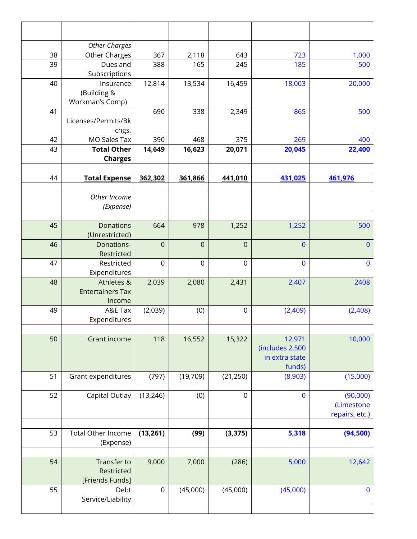|    | <b>Other Charges</b>      |                     |                  |                  |                 |                |
|----|---------------------------|---------------------|------------------|------------------|-----------------|----------------|
| 38 | Other Charges             | 367                 | 2,118            | 643              | 723             | 1,000          |
| 39 | Dues and                  | 388                 | 165              | 245              | 185             | 500            |
|    | Subscriptions             |                     |                  |                  |                 |                |
| 40 | Insurance                 | 12,814              | 13,534           | 16,459           | 18,003          | 20,000         |
|    | (Building &               |                     |                  |                  |                 |                |
|    | Workman's Comp)           |                     |                  |                  |                 |                |
| 41 |                           | 690                 | 338              | 2,349            | 865             | 500            |
|    | Licenses/Permits/Bk       |                     |                  |                  |                 |                |
|    | chgs.                     |                     |                  |                  |                 |                |
| 42 | MO Sales Tax              | 390                 | 468              | 375              | 269             | 400            |
| 43 | <b>Total Other</b>        | 14,649              | 16,623           | 20,071           | 20,045          | 22,400         |
|    | <b>Charges</b>            |                     |                  |                  |                 |                |
|    |                           |                     |                  |                  |                 |                |
| 44 | <b>Total Expense</b>      | 362,302             | 361,866          | 441,010          | 431,025         | 461,976        |
|    |                           |                     |                  |                  |                 |                |
|    | Other Income              |                     |                  |                  |                 |                |
|    | (Expense)                 |                     |                  |                  |                 |                |
|    |                           |                     |                  |                  |                 |                |
| 45 | <b>Donations</b>          | 664                 | 978              | 1,252            | 1,252           | 500            |
|    | (Unrestricted)            |                     |                  |                  |                 |                |
| 46 | Donations-                | $\mathbf 0$         | $\mathbf 0$      | $\mathbf 0$      | $\overline{0}$  | $\overline{0}$ |
|    | Restricted                |                     |                  |                  |                 |                |
| 47 | Restricted                | $\mathbf 0$         | $\boldsymbol{0}$ | $\boldsymbol{0}$ | $\bf{0}$        | $\mathbf 0$    |
|    | Expenditures              |                     |                  |                  |                 |                |
| 48 | Athletes &                | 2,039               | 2,080            | 2,431            | 2,407           | 2408           |
|    | <b>Entertainers Tax</b>   |                     |                  |                  |                 |                |
|    | income                    |                     |                  |                  |                 |                |
| 49 | A&E Tax                   | (2,039)             | (0)              | $\mathbf 0$      | (2,409)         | (2,408)        |
|    | Expenditures              |                     |                  |                  |                 |                |
|    |                           |                     |                  |                  |                 |                |
| 50 | <b>Grant income</b>       | 118                 | 16,552           | 15,322           | 12,971          | 10,000         |
|    |                           |                     |                  |                  | (includes 2,500 |                |
|    |                           |                     |                  |                  | in extra state  |                |
|    |                           |                     |                  |                  | funds)          |                |
| 51 | Grant expenditures        | (797)               | (19, 709)        | (21, 250)        | (8,903)         | (15,000)       |
|    |                           |                     |                  |                  |                 |                |
| 52 | Capital Outlay            | (13, 246)           | (0)              | $\mathbf 0$      | $\mathbf 0$     | (90,000)       |
|    |                           |                     |                  |                  |                 | (Limestone     |
|    |                           |                     |                  |                  |                 | repairs, etc.) |
|    |                           |                     |                  |                  |                 |                |
| 53 | <b>Total Other Income</b> | (13, 261)           | (99)             | (3, 375)         | 5,318           | (94, 500)      |
|    | (Expense)                 |                     |                  |                  |                 |                |
|    |                           |                     |                  |                  |                 |                |
| 54 | Transfer to               | 9,000               | 7,000            | (286)            | 5,000           | 12,642         |
|    | Restricted                |                     |                  |                  |                 |                |
|    | [Friends Funds]           |                     |                  |                  |                 |                |
| 55 | Debt                      | $\mathsf{O}\xspace$ | (45,000)         | (45,000)         | (45,000)        | $\bf{0}$       |
|    | Service/Liability         |                     |                  |                  |                 |                |
|    |                           |                     |                  |                  |                 |                |
|    |                           |                     |                  |                  |                 |                |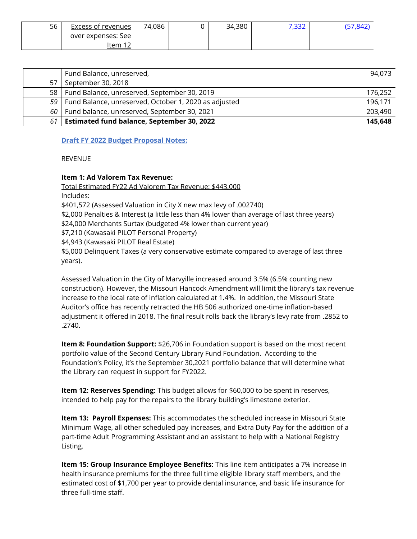| 56 | Excess of revenues | 74,086 | 34,380 | . רככיד<br>20C., P | 7,04Z |
|----|--------------------|--------|--------|--------------------|-------|
|    | over expenses: See |        |        |                    |       |
|    | າ າ<br>item        |        |        |                    |       |

|      | Fund Balance, unreserved,                                  | 94,073  |
|------|------------------------------------------------------------|---------|
| 57   | September 30, 2018                                         |         |
|      | 58   Fund Balance, unreserved, September 30, 2019          | 176,252 |
|      | 59   Fund Balance, unreserved, October 1, 2020 as adjusted | 196,171 |
|      | 60   Fund balance, unreserved, September 30, 2021          | 203,490 |
| 61 I | <b>Estimated fund balance, September 30, 2022</b>          | 145,648 |

## **Draft FY 2022 Budget Proposal Notes:**

**REVENUE** 

## **Item 1: Ad Valorem Tax Revenue:**

Total Estimated FY22 Ad Valorem Tax Revenue: \$443,000 Includes: \$401,572 (Assessed Valuation in City X new max levy of .002740) \$2,000 Penalties & Interest (a little less than 4% lower than average of last three years) \$24,000 Merchants Surtax (budgeted 4% lower than current year) \$7,210 (Kawasaki PILOT Personal Property) \$4,943 (Kawasaki PILOT Real Estate)

\$5,000 Delinquent Taxes (a very conservative estimate compared to average of last three years).

Assessed Valuation in the City of Marvyille increased around 3.5% (6.5% counting new construction). However, the Missouri Hancock Amendment will limit the library's tax revenue increase to the local rate of inflation calculated at 1.4%. In addition, the Missouri State Auditor's office has recently retracted the HB 506 authorized one-time inflation-based adjustment it offered in 2018. The final result rolls back the library's levy rate from .2852 to .2740.

**Item 8: Foundation Support:** \$26,706 in Foundation support is based on the most recent portfolio value of the Second Century Library Fund Foundation. According to the Foundation's Policy, it's the September 30,2021 portfolio balance that will determine what the Library can request in support for FY2022.

**Item 12: Reserves Spending:** This budget allows for \$60,000 to be spent in reserves, intended to help pay for the repairs to the library building's limestone exterior.

**Item 13: Payroll Expenses:** This accommodates the scheduled increase in Missouri State Minimum Wage, all other scheduled pay increases, and Extra Duty Pay for the addition of a part-time Adult Programming Assistant and an assistant to help with a National Registry Listing.

**Item 15: Group Insurance Employee Benefits:** This line item anticipates a 7% increase in health insurance premiums for the three full time eligible library staff members, and the estimated cost of \$1,700 per year to provide dental insurance, and basic life insurance for three full-time staff.